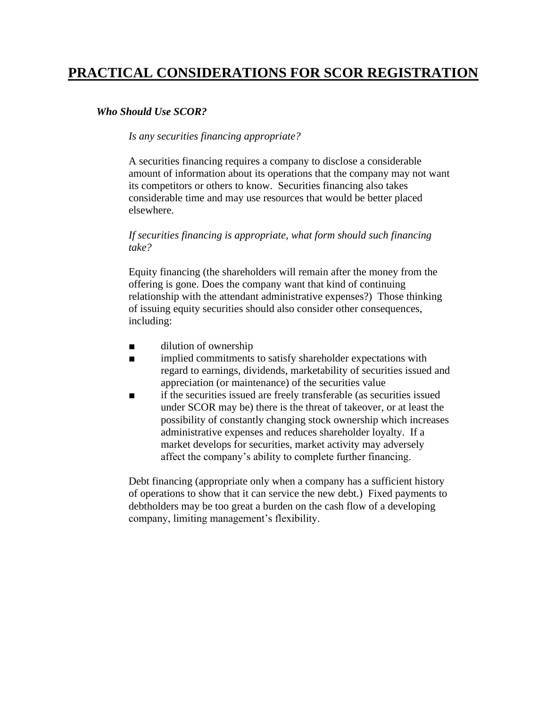# **PRACTICAL CONSIDERATIONS FOR SCOR REGISTRATION**

# *Who Should Use SCOR?*

### *Is any securities financing appropriate?*

A securities financing requires a company to disclose a considerable amount of information about its operations that the company may not want its competitors or others to know. Securities financing also takes considerable time and may use resources that would be better placed elsewhere.

# *If securities financing is appropriate, what form should such financing take?*

Equity financing (the shareholders will remain after the money from the offering is gone. Does the company want that kind of continuing relationship with the attendant administrative expenses?) Those thinking of issuing equity securities should also consider other consequences, including:

- dilution of ownership
- implied commitments to satisfy shareholder expectations with regard to earnings, dividends, marketability of securities issued and appreciation (or maintenance) of the securities value
- if the securities issued are freely transferable (as securities issued under SCOR may be) there is the threat of takeover, or at least the possibility of constantly changing stock ownership which increases administrative expenses and reduces shareholder loyalty. If a market develops for securities, market activity may adversely affect the company's ability to complete further financing.

Debt financing (appropriate only when a company has a sufficient history of operations to show that it can service the new debt.) Fixed payments to debtholders may be too great a burden on the cash flow of a developing company, limiting management's flexibility.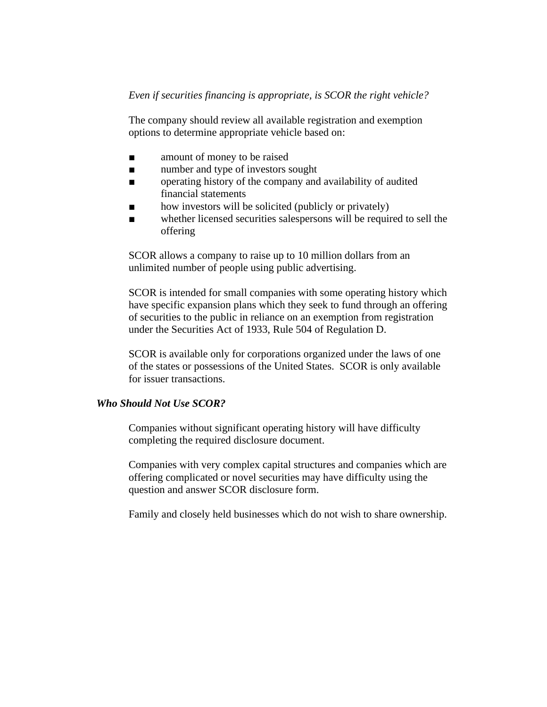## *Even if securities financing is appropriate, is SCOR the right vehicle?*

The company should review all available registration and exemption options to determine appropriate vehicle based on:

- amount of money to be raised
- number and type of investors sought
- operating history of the company and availability of audited financial statements
- how investors will be solicited (publicly or privately)
- whether licensed securities salespersons will be required to sell the offering

SCOR allows a company to raise up to 10 million dollars from an unlimited number of people using public advertising.

SCOR is intended for small companies with some operating history which have specific expansion plans which they seek to fund through an offering of securities to the public in reliance on an exemption from registration under the Securities Act of 1933, Rule 504 of Regulation D.

SCOR is available only for corporations organized under the laws of one of the states or possessions of the United States. SCOR is only available for issuer transactions.

#### *Who Should Not Use SCOR?*

Companies without significant operating history will have difficulty completing the required disclosure document.

Companies with very complex capital structures and companies which are offering complicated or novel securities may have difficulty using the question and answer SCOR disclosure form.

Family and closely held businesses which do not wish to share ownership.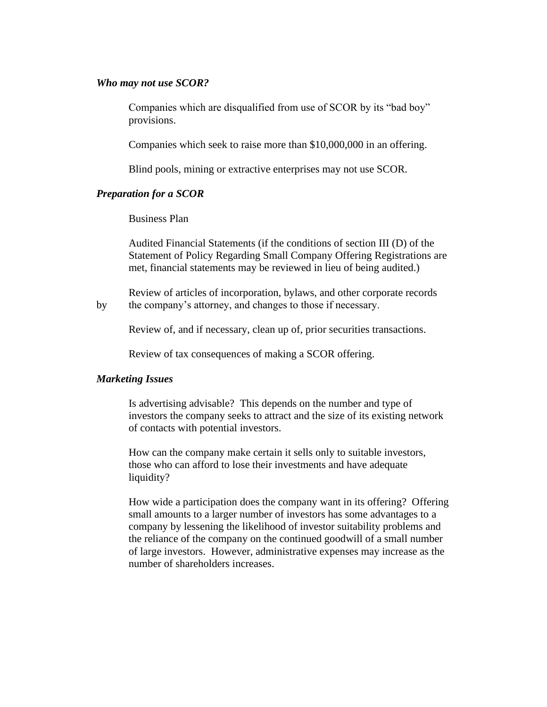#### *Who may not use SCOR?*

Companies which are disqualified from use of SCOR by its "bad boy" provisions.

Companies which seek to raise more than \$10,000,000 in an offering.

Blind pools, mining or extractive enterprises may not use SCOR.

#### *Preparation for a SCOR*

Business Plan

Audited Financial Statements (if the conditions of section III (D) of the Statement of Policy Regarding Small Company Offering Registrations are met, financial statements may be reviewed in lieu of being audited.)

Review of articles of incorporation, bylaws, and other corporate records by the company's attorney, and changes to those if necessary.

Review of, and if necessary, clean up of, prior securities transactions.

Review of tax consequences of making a SCOR offering.

#### *Marketing Issues*

Is advertising advisable? This depends on the number and type of investors the company seeks to attract and the size of its existing network of contacts with potential investors.

How can the company make certain it sells only to suitable investors, those who can afford to lose their investments and have adequate liquidity?

How wide a participation does the company want in its offering? Offering small amounts to a larger number of investors has some advantages to a company by lessening the likelihood of investor suitability problems and the reliance of the company on the continued goodwill of a small number of large investors. However, administrative expenses may increase as the number of shareholders increases.